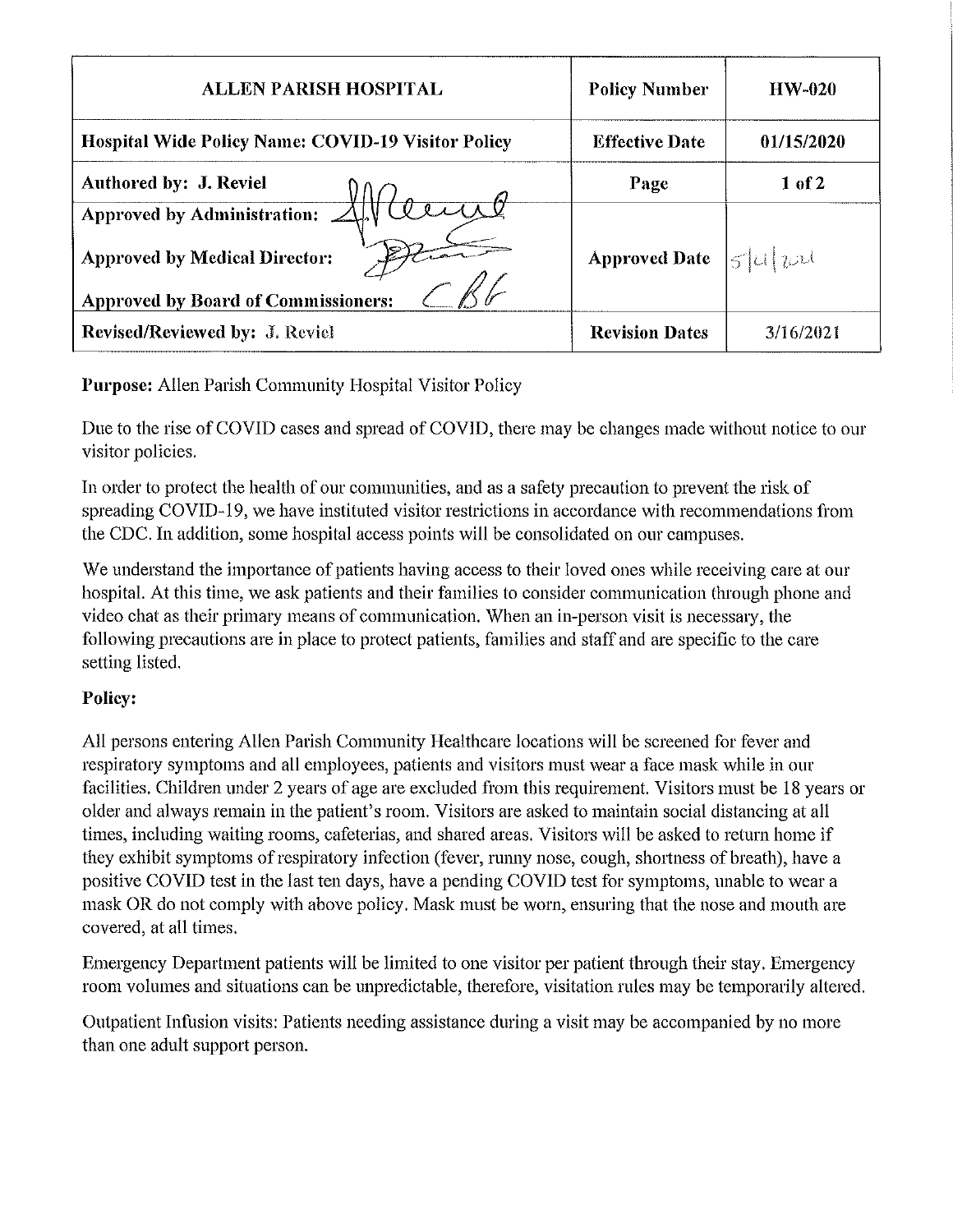| <b>ALLEN PARISH HOSPITAL</b>                                                                                                  | <b>Policy Number</b>                              | $HW-020$   |
|-------------------------------------------------------------------------------------------------------------------------------|---------------------------------------------------|------------|
| <b>Hospital Wide Policy Name: COVID-19 Visitor Policy</b>                                                                     | <b>Effective Date</b>                             | 01/15/2020 |
| Authored by: J. Reviel                                                                                                        | Page                                              | 1 of 2     |
| Approved by Administration: $\triangle$<br><b>Approved by Medical Director:</b><br><b>Approved by Board of Commissioners:</b> | <b>Approved Date</b> $ \mathcal{L} \mathcal{L} \$ |            |
| <b>Revised/Reviewed by: J. Reviel</b>                                                                                         | <b>Revision Dates</b>                             | 3/16/2021  |

Purpose: Allen Parish Community Hospital Visitor Policy

Due to the rise of COVID cases and spread of COVID, there may be changes made without notice to our visitor policies.

In order to protect the health of our communities, and as a safety precaution to prevent the risk of spreading COVID-19, we have instituted visitor restrictions in accordance with recommendations from the CDC. In addition, some hospital access points will be consolidated on our campuses.

We understand the importance of patients having access to their loved ones while receiving care at our hospital. At this time, we ask patients and their families to consider communication through phone and video chat as their primary means of communication. When an in-person visit is necessary, the following precautions are in place to protect patients, families and staff and are specific to the care setting listed.

## Policy:

All persons entering Allen Parish Community Healthcare locations will be screened for fever and respiratory symptoms and all employees, patients and visitors must wear a face mask while in our facilities. Children under 2 years of age are excluded from this requirement. Visitors must be 18 years or older and always remain in the patient's room. Visitors are asked to maintain social distancing at all times, including waiting rooms, cafeterias, and shared areas. Visitors will be asked to return home if they exhibit symptoms of respiratory infection (fever, runny nose, cough, shortness of breath), have a positive COVID test in the last ten days, have a pending COVID test for symptoms, unable to wear a mask OR do not comply with above policy. Mask must be worn, ensuring that the nose and mouth are covered, at all times.

Emergency Department patients will be limited to one visitor per patient through their stay. Emergency room volumes and situations can be unpredictable, therefore, visitation rules may be temporarily altered.

Outpatient Infusion visits: Patients needing assistance during a visit may be accompanied by no more than one adult support person.